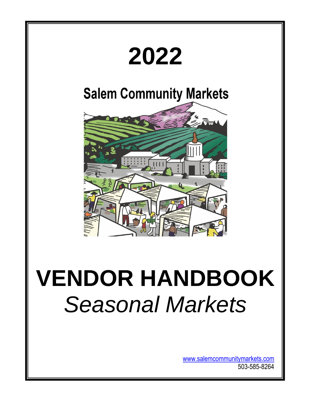

[www.salemcommunitymarkets.com](http://www.salemcommunitymarkets.com/) 503-585-8264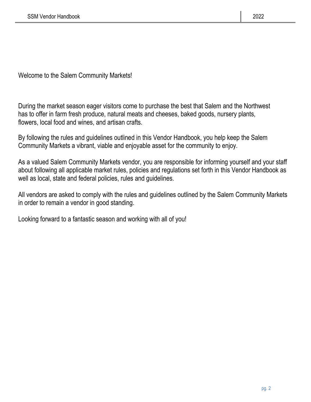Welcome to the Salem Community Markets!

During the market season eager visitors come to purchase the best that Salem and the Northwest has to offer in farm fresh produce, natural meats and cheeses, baked goods, nursery plants, flowers, local food and wines, and artisan crafts.

By following the rules and guidelines outlined in this Vendor Handbook, you help keep the Salem Community Markets a vibrant, viable and enjoyable asset for the community to enjoy.

As a valued Salem Community Markets vendor, you are responsible for informing yourself and your staff about following all applicable market rules, policies and regulations set forth in this Vendor Handbook as well as local, state and federal policies, rules and guidelines.

All vendors are asked to comply with the rules and guidelines outlined by the Salem Community Markets in order to remain a vendor in good standing.

Looking forward to a fantastic season and working with all of you!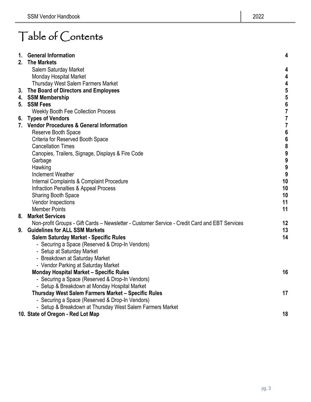# Table of Contents

| 1. | <b>General Information</b>                                                                    | 4                                     |
|----|-----------------------------------------------------------------------------------------------|---------------------------------------|
| 2. | <b>The Markets</b>                                                                            |                                       |
|    | Salem Saturday Market                                                                         | 4                                     |
|    | Monday Hospital Market                                                                        | 4                                     |
|    | Thursday West Salem Farmers Market                                                            | 4                                     |
| 3. | The Board of Directors and Employees                                                          | 5                                     |
|    | 4. SSM Membership                                                                             | $\begin{array}{c} 5 \\ 6 \end{array}$ |
| 5. | <b>SSM Fees</b>                                                                               |                                       |
|    | <b>Weekly Booth Fee Collection Process</b>                                                    | $\overline{7}$                        |
|    | 6. Types of Vendors                                                                           | 7                                     |
|    | 7. Vendor Procedures & General Information                                                    | $\overline{7}$                        |
|    | Reserve Booth Space                                                                           | $\boldsymbol{6}$                      |
|    | Criteria for Reserved Booth Space                                                             | $\begin{array}{c} 6 \\ 8 \end{array}$ |
|    | <b>Cancellation Times</b>                                                                     |                                       |
|    | Canopies, Trailers, Signage, Displays & Fire Code                                             | 9                                     |
|    | Garbage                                                                                       | 9                                     |
|    | Hawking                                                                                       | 9                                     |
|    | <b>Inclement Weather</b>                                                                      | 9                                     |
|    | Internal Complaints & Complaint Procedure                                                     | 10                                    |
|    | Infraction Penalties & Appeal Process                                                         | 10                                    |
|    | <b>Sharing Booth Space</b>                                                                    | 10                                    |
|    | Vendor Inspections                                                                            | 11                                    |
|    | <b>Member Points</b>                                                                          | 11                                    |
| 8. | <b>Market Services</b>                                                                        |                                       |
|    | Non-profit Groups - Gift Cards - Newsletter - Customer Service - Credit Card and EBT Services | 12                                    |
| 9. | <b>Guidelines for ALL SSM Markets</b>                                                         | 13<br>14                              |
|    | <b>Salem Saturday Market - Specific Rules</b>                                                 |                                       |
|    | - Securing a Space (Reserved & Drop-In Vendors)                                               |                                       |
|    | - Setup at Saturday Market<br>- Breakdown at Saturday Market                                  |                                       |
|    | - Vendor Parking at Saturday Market                                                           |                                       |
|    | <b>Monday Hospital Market - Specific Rules</b>                                                | 16                                    |
|    | - Securing a Space (Reserved & Drop-In Vendors)                                               |                                       |
|    | - Setup & Breakdown at Monday Hospital Market                                                 |                                       |
|    | Thursday West Salem Farmers Market - Specific Rules                                           | 17                                    |
|    | - Securing a Space (Reserved & Drop-In Vendors)                                               |                                       |
|    | - Setup & Breakdown at Thursday West Salem Farmers Market                                     |                                       |
|    | 10. State of Oregon - Red Lot Map                                                             | 18                                    |
|    |                                                                                               |                                       |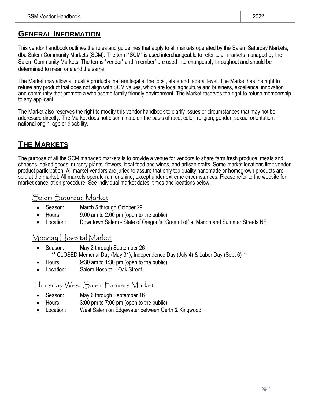# **GENERAL INFORMATION**

This vendor handbook outlines the rules and guidelines that apply to all markets operated by the Salem Saturday Markets, dba Salem Community Markets (SCM). The term "SCM" is used interchangeable to refer to all markets managed by the Salem Community Markets. The terms "vendor" and "member" are used interchangeably throughout and should be determined to mean one and the same.

The Market may allow all quality products that are legal at the local, state and federal level. The Market has the right to refuse any product that does not align with SCM values, which are local agriculture and business, excellence, innovation and community that promote a wholesome family friendly environment. The Market reserves the right to refuse membership to any applicant.

The Market also reserves the right to modify this vendor handbook to clarify issues or circumstances that may not be addressed directly. The Market does not discriminate on the basis of race, color, religion, gender, sexual orientation, national origin, age or disability.

# **THE MARKETS**

The purpose of all the SCM managed markets is to provide a venue for vendors to share farm fresh produce, meats and cheeses, baked goods, nursery plants, flowers, local food and wines, and artisan crafts. Some market locations limit vendor product participation. All market vendors are juried to assure that only top quality handmade or homegrown products are sold at the market. All markets operate rain or shine, except under extreme circumstances. Please refer to the website for market cancellation procedure. See individual market dates, times and locations below:

# Salem Saturday Market

- Season: March 5 through October 29
- Hours: 9:00 am to 2:00 pm (open to the public)
- Location: Downtown Salem State of Oregon's "Green Lot" at Marion and Summer Streets NE

# Monday Hospital Market

- Season: May 2 through September 26 \*\* CLOSED Memorial Day (May 31), Independence Day (July 4) & Labor Day (Sept 6) \*\*
- Hours: 9:30 am to 1:30 pm (open to the public)
- Location: Salem Hospital Oak Street

# Thursday West Salem Farmers Market

- Season: May 6 through September 16
- Hours: 3:00 pm to 7:00 pm (open to the public)
- Location: West Salem on Edgewater between Gerth & Kingwood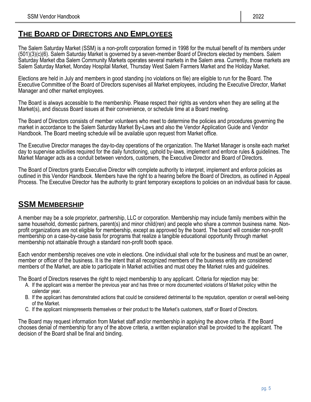# **THE BOARD OF DIRECTORS AND EMPLOYEES**

The Salem Saturday Market (SSM) is a non-profit corporation formed in 1998 for the mutual benefit of its members under (501)(3)(c)(6). Salem Saturday Market is governed by a seven-member Board of Directors elected by members. Salem Saturday Market dba Salem Community Markets operates several markets in the Salem area. Currently, those markets are Salem Saturday Market, Monday Hospital Market, Thursday West Salem Farmers Market and the Holiday Market.

Elections are held in July and members in good standing (no violations on file) are eligible to run for the Board. The Executive Committee of the Board of Directors supervises all Market employees, including the Executive Director, Market Manager and other market employees.

The Board is always accessible to the membership. Please respect their rights as vendors when they are selling at the Market(s), and discuss Board issues at their convenience, or schedule time at a Board meeting.

The Board of Directors consists of member volunteers who meet to determine the policies and procedures governing the market in accordance to the Salem Saturday Market By-Laws and also the Vendor Application Guide and Vendor Handbook. The Board meeting schedule will be available upon request from Market office.

The Executive Director manages the day-to-day operations of the organization. The Market Manager is onsite each market day to supervise activities required for the daily functioning, uphold by-laws, implement and enforce rules & guidelines. The Market Manager acts as a conduit between vendors, customers, the Executive Director and Board of Directors.

The Board of Directors grants Executive Director with complete authority to interpret, implement and enforce policies as outlined in this Vendor Handbook. Members have the right to a hearing before the Board of Directors, as outlined in Appeal Process. The Executive Director has the authority to grant temporary exceptions to policies on an individual basis for cause.

# **SSM MEMBERSHIP**

A member may be a sole proprietor, partnership, LLC or corporation. Membership may include family members within the same household, domestic partners, parent(s) and minor child(ren) and people who share a common business name. Nonprofit organizations are not eligible for membership, except as approved by the board. The board will consider non-profit membership on a case-by-case basis for programs that realize a tangible educational opportunity through market membership not attainable through a standard non-profit booth space.

Each vendor membership receives one vote in elections. One individual shall vote for the business and must be an owner, member or officer of the business. It is the intent that all recognized members of the business entity are considered members of the Market, are able to participate in Market activities and must obey the Market rules and guidelines.

The Board of Directors reserves the right to reject membership to any applicant. Criteria for rejection may be:

- A. If the applicant was a member the previous year and has three or more documented violations of Market policy within the calendar year.
- B. If the applicant has demonstrated actions that could be considered detrimental to the reputation, operation or overall well-being of the Market.
- C. If the applicant misrepresents themselves or their product to the Market's customers, staff or Board of Directors.

The Board may request information from Market staff and/or membership in applying the above criteria. If the Board chooses denial of membership for any of the above criteria, a written explanation shall be provided to the applicant. The decision of the Board shall be final and binding.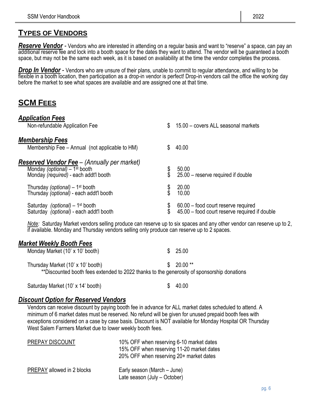# **TYPES OF VENDORS**

*Reserve Vendor -* Vendors who are interested in attending on a regular basis and want to "reserve" a space, can pay an additional reserve fee and lock into a booth space for the dates they want to attend. The vendor will be guaranteed a booth space, but may not be the same each week, as it is based on availability at the time the vendor completes the process.

*Drop In Vendor -* Vendors who are unsure of their plans, unable to commit to regular attendance, and willing to be flexible in a booth location, then participation as a drop-in vendor is perfect! Drop-in vendors call the office the working day before the market to see what spaces are available and are assigned one at that time.

# **SCM FEES**

| <b>Application Fees</b>                                                                                                                   |                                                                                      |
|-------------------------------------------------------------------------------------------------------------------------------------------|--------------------------------------------------------------------------------------|
| Non-refundable Application Fee                                                                                                            | 15.00 - covers ALL seasonal markets<br>\$                                            |
| <b>Membership Fees</b>                                                                                                                    |                                                                                      |
| Membership Fee – Annual (not applicable to HM)                                                                                            | 40.00                                                                                |
| <b>Reserved Vendor Fee</b> – (Annually per market)<br>Monday (optional) $-1$ <sup>st</sup> booth<br>Monday (required) - each addt'l booth | 50.00<br>25.00 - reserve required if double                                          |
| Thursday (optional) – 1 <sup>st</sup> booth<br>Thursday (optional) - each addt'l booth                                                    | 20.00<br>10.00                                                                       |
| Saturday (optional) - 1 <sup>st</sup> booth<br>Saturday (optional) - each addt'l booth                                                    | 60.00 – food court reserve required<br>45.00 – food court reserve required if double |

*Note:* Saturday Market vendors selling produce can reserve up to six spaces and any other vendor can reserve up to 2, if available. Monday and Thursday vendors selling only produce can reserve up to 2 spaces.

#### *Market Weekly Booth Fees*

| Monday Market (10' x 10' booth)                                                                                                 | 25.00<br>S. |  |
|---------------------------------------------------------------------------------------------------------------------------------|-------------|--|
| Thursday Market (10' x 10' booth)<br>**Discounted booth fees extended to 2022 thanks to the generosity of sponsorship donations | $$20.00**$  |  |
|                                                                                                                                 |             |  |

Saturday Market (10' x 14' booth) \$ 40.00

#### *Discount Option for Reserved Vendors*

Vendors can receive discount by paying booth fee in advance for ALL market dates scheduled to attend. A minimum of 6 market dates must be reserved. No refund will be given for unused prepaid booth fees with exceptions considered on a case by case basis. Discount is NOT available for Monday Hospital OR Thursday West Salem Farmers Market due to lower weekly booth fees.

| PREPAY DISCOUNT            | 10% OFF when reserving 6-10 market dates<br>15% OFF when reserving 11-20 market dates<br>20% OFF when reserving 20+ market dates |
|----------------------------|----------------------------------------------------------------------------------------------------------------------------------|
| PREPAY allowed in 2 blocks | Early season (March – June)<br>Late season (July - October)                                                                      |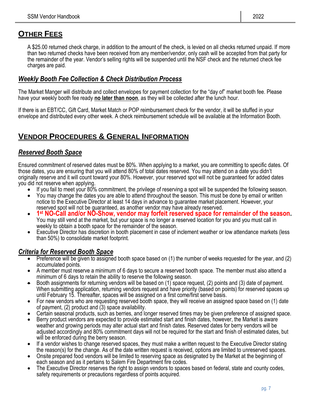# **OTHER FEES**

A \$25.00 returned check charge, in addition to the amount of the check, is levied on all checks returned unpaid. If more than two returned checks have been received from any member/vendor, only cash will be accepted from that party for the remainder of the year. Vendor's selling rights will be suspended until the NSF check and the returned check fee charges are paid.

#### *Weekly Booth Fee Collection & Check Distribution Process*

The Market Manger will distribute and collect envelopes for payment collection for the "day of" market booth fee. Please have your weekly booth fee ready **no later than noon**, as they will be collected after the lunch hour.

If there is an EBT/CC, Gift Card, Market Match or POP reimbursement check for the vendor, it will be stuffed in your envelope and distributed every other week. A check reimbursement schedule will be available at the Information Booth.

# **VENDOR PROCEDURES & GENERAL INFORMATION**

## *Reserved Booth Space*

Ensured commitment of reserved dates must be 80%. When applying to a market, you are committing to specific dates. Of those dates, you are ensuring that you will attend 80% of total dates reserved. You may attend on a date you didn't originally reserve and it will count toward your 80%. However, your reserved spot will not be guaranteed for added dates you did not reserve when applying.

- If you fail to meet your 80% commitment, the privilege of reserving a spot will be suspended the following season.
- You may change the dates you are able to attend throughout the season. This must be done by email or written notice to the Executive Director at least 14 days in advance to guarantee market placement. However, your reserved spot will not be guaranteed, as another vendor may have already reserved.
- **1 st NO-Call and/or NO-Show, vendor may forfeit reserved space for remainder of the season.** You may still vend at the market, but your space is no longer a reserved location for you and you must call in weekly to obtain a booth space for the remainder of the season.
- Executive Director has discretion in booth placement in case of inclement weather or low attendance markets (less than 50%) to consolidate market footprint.

#### *Criteria for Reserved Booth Space*

- Preference will be given to assigned booth space based on (1) the number of weeks requested for the year, and (2) accumulated points.
- A member must reserve a minimum of 6 days to secure a reserved booth space. The member must also attend a minimum of 6 days to retain the ability to reserve the following season.
- Booth assignments for returning vendors will be based on (1) space request, (2) points and (3) date of payment. When submitting application, returning vendors request and have priority (based on points) for reserved spaces up until February 15. Thereafter, spaces will be assigned on a first come/first serve basis.
- For new vendors who are requesting reserved booth space, they will receive an assigned space based on (1) date of payment, (2) product and (3) space availability.
- Certain seasonal products, such as berries, and longer reserved times may be given preference of assigned space.
- Berry product vendors are expected to provide estimated start and finish dates, however, the Market is aware weather and growing periods may alter actual start and finish dates. Reserved dates for berry vendors will be adjusted accordingly and 80% commitment days will not be required for the start and finish of estimated dates, but will be enforced during the berry season.
- If a vendor wishes to change reserved spaces, they must make a written request to the Executive Director stating the reason(s) for the change. As of the date written request is received, options are limited to unreserved spaces.
- Onsite prepared food vendors will be limited to reserving space as designated by the Market at the beginning of each season and as it pertains to Salem Fire Department fire codes.
- The Executive Director reserves the right to assign vendors to spaces based on federal, state and county codes, safety requirements or precautions regardless of points acquired.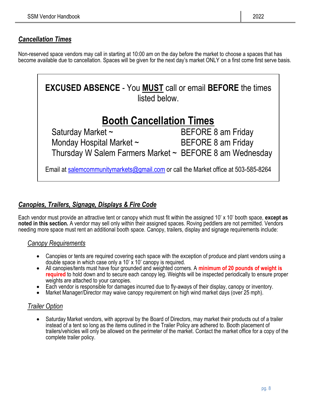# *Cancellation Times*

Non-reserved space vendors may call in starting at 10:00 am on the day before the market to choose a spaces that has become available due to cancellation. Spaces will be given for the next day's market ONLY on a first come first serve basis.



# *Canopies, Trailers, Signage, Displays & Fire Code*

Each vendor must provide an attractive tent or canopy which must fit within the assigned 10' x 10' booth space, **except as noted in this section.** A vendor may sell only within their assigned spaces. Roving peddlers are not permitted. Vendors needing more space must rent an additional booth space. Canopy, trailers, display and signage requirements include:

#### *Canopy Requirements*

- Canopies or tents are required covering each space with the exception of produce and plant vendors using a double space in which case only a  $10' \times 10'$  canopy is required.
- All canopies/tents must have four grounded and weighted corners. A **minimum of 20 pounds of weight is required** to hold down and to secure each canopy leg. Weights will be inspected periodically to ensure proper weights are attached to your canopies.
- Each vendor is responsible for damages incurred due to fly-aways of their display, canopy or inventory.
- Market Manager/Director may waive canopy requirement on high wind market days (over 25 mph).

#### *Trailer Option*

• Saturday Market vendors, with approval by the Board of Directors, may market their products out of a trailer instead of a tent so long as the items outlined in the Trailer Policy are adhered to. Booth placement of trailers/vehicles will only be allowed on the perimeter of the market. Contact the market office for a copy of the complete trailer policy.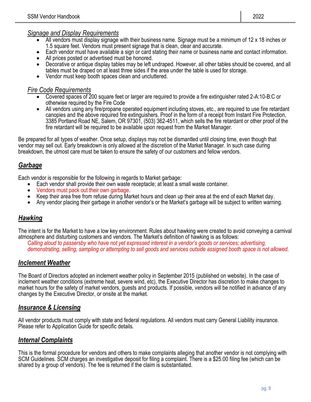#### *Signage and Display Requirements*

- All vendors must display signage with their business name. Signage must be a minimum of 12 x 18 inches or 1.5 square feet. Vendors must present signage that is clean, clear and accurate.
- Each vendor must have available a sign or card stating their name or business name and contact information.
- All prices posted or advertised must be honored.
- Decorative or antique display tables may be left undraped. However, all other tables should be covered, and all tables must be draped on at least three sides if the area under the table is used for storage.
- Vendor must keep booth spaces clean and uncluttered.

#### *Fire Code Requirements*

- Covered spaces of 200 square feet or larger are required to provide a fire extinguisher rated 2-A:10-B:C or otherwise required by the Fire Code
- All vendors using any fire/propane operated equipment including stoves, etc., are required to use fire retardant canopies and the above required fire extinguishers. Proof in the form of a receipt from Instant Fire Protection, 3385 Portland Road NE, Salem, OR 97301, (503) 362-4511, which sells the fire retardant or other proof of the fire retardant will be required to be available upon request from the Market Manager.

Be prepared for all types of weather. Once setup, displays may not be dismantled until closing time, even though that vendor may sell out. Early breakdown is only allowed at the discretion of the Market Manager. In such case during breakdown, the utmost care must be taken to ensure the safety of our customers and fellow vendors.

## *Garbage*

Each vendor is responsible for the following in regards to Market garbage:

- Each vendor shall provide their own waste receptacle; at least a small waste container.
- Vendors must pack out their own garbage.
- Keep their area free from refuse during Market hours and clean up their area at the end of each Market day.
- Any vendor placing their garbage in another vendor's or the Market's garbage will be subject to written warning.

#### *Hawking*

The intent is for the Market to have a low key environment. Rules about hawking were created to avoid conveying a carnival atmosphere and disturbing customers and vendors. The Market's definition of hawking is as follows:

*Calling aloud to passersby who have not yet expressed interest in a vendor's goods or services; advertising, demonstrating, selling, sampling or attempting to sell goods and services outside assigned booth space is not allowed.*

#### *Inclement Weather*

The Board of Directors adopted an inclement weather policy in September 2015 (published on website). In the case of inclement weather conditions (extreme heat, severe wind, etc), the Executive Director has discretion to make changes to market hours for the safety of market vendors, guests and products. If possible, vendors will be notified in advance of any changes by the Executive Director, or onsite at the market.

#### *Insurance & Licensing*

All vendor products must comply with state and federal regulations. All vendors must carry General Liability insurance. Please refer to Application Guide for specific details.

#### *Internal Complaints*

This is the formal procedure for vendors and others to make complaints alleging that another vendor is not complying with SCM Guidelines. SCM charges an investigative deposit for filing a complaint. There is a \$25.00 filing fee (which can be shared by a group of vendors). The fee is returned if the claim is substantiated.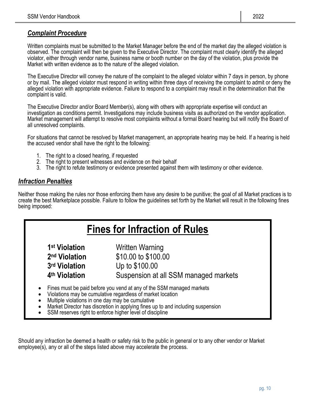#### *Complaint Procedure*

Written complaints must be submitted to the Market Manager before the end of the market day the alleged violation is observed. The complaint will then be given to the Executive Director. The complaint must clearly identify the alleged violator, either through vendor name, business name or booth number on the day of the violation, plus provide the Market with written evidence as to the nature of the alleged violation.

The Executive Director will convey the nature of the complaint to the alleged violator within 7 days in person, by phone or by mail. The alleged violator must respond in writing within three days of receiving the complaint to admit or deny the alleged violation with appropriate evidence. Failure to respond to a complaint may result in the determination that the complaint is valid.

The Executive Director and/or Board Member(s), along with others with appropriate expertise will conduct an investigation as conditions permit. Investigations may include business visits as authorized on the vendor application. Market management will attempt to resolve most complaints without a formal Board hearing but will notify the Board of all unresolved complaints.

For situations that cannot be resolved by Market management, an appropriate hearing may be held. If a hearing is held the accused vendor shall have the right to the following:

- 1. The right to a closed hearing, if requested
- 2. The right to present witnesses and evidence on their behalf
- 3. The right to refute testimony or evidence presented against them with testimony or other evidence.

#### *Infraction Penalties*

Neither those making the rules nor those enforcing them have any desire to be punitive; the goal of all Market practices is to create the best Marketplace possible. Failure to follow the guidelines set forth by the Market will result in the following fines being imposed:

# **Fines for Infraction of Rules**

**1st Violation** 2<sup>nd</sup> Violation 3<sup>rd</sup> Violation 4<sup>th</sup> Violation

**Written Warning nd Violation** \$10.00 to \$100.00 **rd Violation** Up to \$100.00 **Suspension at all SSM managed markets** 

- Fines must be paid before you vend at any of the SSM managed markets
- Violations may be cumulative regardless of market location
- Multiple violations in one day may be cumulative
- Market Director has discretion in applying fines up to and including suspension
- SSM reserves right to enforce higher level of discipline

Should any infraction be deemed a health or safety risk to the public in general or to any other vendor or Market employee(s), any or all of the steps listed above may accelerate the process.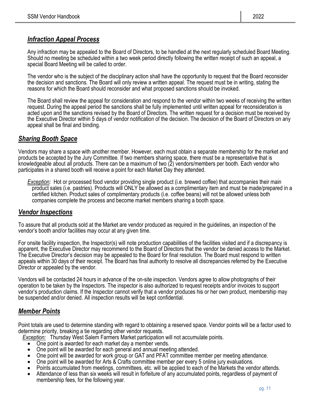# *Infraction Appeal Process*

Any infraction may be appealed to the Board of Directors, to be handled at the next regularly scheduled Board Meeting. Should no meeting be scheduled within a two week period directly following the written receipt of such an appeal, a special Board Meeting will be called to order.

The vendor who is the subject of the disciplinary action shall have the opportunity to request that the Board reconsider the decision and sanctions. The Board will only review a written appeal. The request must be in writing, stating the reasons for which the Board should reconsider and what proposed sanctions should be invoked.

The Board shall review the appeal for consideration and respond to the vendor within two weeks of receiving the written request. During the appeal period the sanctions shall be fully implemented until written appeal for reconsideration is acted upon and the sanctions revised by the Board of Directors. The written request for a decision must be received by the Executive Director within 5 days of vendor notification of the decision. The decision of the Board of Directors on any appeal shall be final and binding.

#### *Sharing Booth Space*

Vendors may share a space with another member. However, each must obtain a separate membership for the market and products be accepted by the Jury Committee. If two members sharing space, there must be a representative that is knowledgeable about all products. There can be a maximum of two (2) vendors/members per booth. Each vendor who participates in a shared booth will receive a point for each Market Day they attended.

*Exception:* Hot or processed food vendor providing single product (i.e. brewed coffee) that accompanies their main product sales (i.e. pastries). Products will ONLY be allowed as a complimentary item and must be made/prepared in a certified kitchen. Product sales of complimentary products (i.e. coffee beans) will not be allowed unless both companies complete the process and become market members sharing a booth space.

#### *Vendor Inspections*

To assure that all products sold at the Market are vendor produced as required in the guidelines, an inspection of the vendor's booth and/or facilities may occur at any given time.

For onsite facility inspection, the Inspector(s) will note production capabilities of the facilities visited and if a discrepancy is apparent, the Executive Director may recommend to the Board of Directors that the vendor be denied access to the Market. The Executive Director's decision may be appealed to the Board for final resolution. The Board must respond to written appeals within 30 days of their receipt. The Board has final authority to resolve all discrepancies referred by the Executive Director or appealed by the vendor.

Vendors will be contacted 24 hours in advance of the on-site inspection. Vendors agree to allow photographs of their operation to be taken by the Inspectors. The inspector is also authorized to request receipts and/or invoices to support vendor's production claims. If the Inspector cannot verify that a vendor produces his or her own product, membership may be suspended and/or denied. All inspection results will be kept confidential.

#### *Member Points*

Point totals are used to determine standing with regard to obtaining a reserved space. Vendor points will be a factor used to determine priority, breaking a tie regarding other vendor requests.

*Exception:* Thursday West Salem Farmers Market participation will not accumulate points.

- One point is awarded for each market day a member vends.
- One point will be awarded for each general and annual meeting attended.
- One point will be awarded for work group or GAT and PFAT committee member per meeting attendance.
- One point will be awarded for Arts & Crafts committee member per every 5 online jury evaluations.
- Points accumulated from meetings, committees, etc. will be applied to each of the Markets the vendor attends.
- Attendance of less than six weeks will result in forfeiture of any accumulated points, regardless of payment of membership fees, for the following year.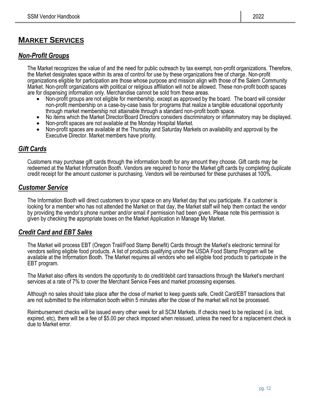# **MARKET SERVICES**

#### *Non-Profit Groups*

The Market recognizes the value of and the need for public outreach by tax exempt, non-profit organizations. Therefore, the Market designates space within its area of control for use by these organizations free of charge. Non-profit organizations eligible for participation are those whose purpose and mission align with those of the Salem Community Market. Non-profit organizations with political or religious affiliation will not be allowed. These non-profit booth spaces are for dispensing information only. Merchandise cannot be sold from these areas.

- Non-profit groups are not eligible for membership, except as approved by the board. The board will consider non-profit membership on a case-by-case basis for programs that realize a tangible educational opportunity through market membership not attainable through a standard non-profit booth space.
- No items which the Market Director/Board Directors considers discriminatory or inflammatory may be displayed.
- Non-profit spaces are not available at the Monday Hospital Market.
- Non-profit spaces are available at the Thursday and Saturday Markets on availability and approval by the Executive Director. Market members have priority.

## *Gift Cards*

Customers may purchase gift cards through the information booth for any amount they choose. Gift cards may be redeemed at the Market Information Booth. Vendors are required to honor the Market gift cards by completing duplicate credit receipt for the amount customer is purchasing. Vendors will be reimbursed for these purchases at 100%.

#### *Customer Service*

The Information Booth will direct customers to your space on any Market day that you participate. If a customer is looking for a member who has not attended the Market on that day, the Market staff will help them contact the vendor by providing the vendor's phone number and/or email if permission had been given. Please note this permission is given by checking the appropriate boxes on the Market Application in Manage My Market.

#### *Credit Card and EBT Sales*

The Market will process EBT (Oregon Trail/Food Stamp Benefit) Cards through the Market's electronic terminal for vendors selling eligible food products. A list of products qualifying under the USDA Food Stamp Program will be available at the Information Booth. The Market requires all vendors who sell eligible food products to participate in the EBT program.

The Market also offers its vendors the opportunity to do credit/debit card transactions through the Market's merchant services at a rate of 7% to cover the Merchant Service Fees and market processing expenses.

Although no sales should take place after the close of market to keep guests safe, Credit Card/EBT transactions that are not submitted to the information booth within 5 minutes after the close of the market will not be processed.

Reimbursement checks will be issued every other week for all SCM Markets. If checks need to be replaced (i.e. lost, expired, etc), there will be a fee of \$5.00 per check imposed when reissued, unless the need for a replacement check is due to Market error.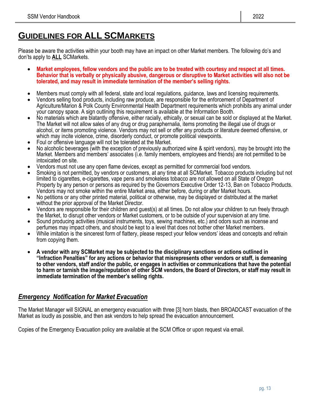# **GUIDELINES FOR ALL SCMARKETS**

Please be aware the activities within your booth may have an impact on other Market members. The following do's and don'ts apply to **ALL** SCMarkets.

- **Market employees, fellow vendors and the public are to be treated with courtesy and respect at all times. Behavior that is verbally or physically abusive, dangerous or disruptive to Market activities will also not be tolerated, and may result in immediate termination of the member's selling rights.**
- Members must comply with all federal, state and local regulations, guidance, laws and licensing requirements.
- Vendors selling food products, including raw produce, are responsible for the enforcement of Department of Agriculture/Marion & Polk County Environmental Health Department requirements which prohibits any animal under your canopy space. A sign outlining this requirement is available at the Information Booth.
- No materials which are blatantly offensive, either racially, ethically, or sexual can be sold or displayed at the Market. The Market will not allow sales of any drug or drug paraphernalia, items promoting the illegal use of drugs or alcohol, or items promoting violence. Vendors may not sell or offer any products or literature deemed offensive, or which may incite violence, crime, disorderly conduct, or promote political viewpoints.
- Foul or offensive language will not be tolerated at the Market.
- No alcoholic beverages (with the exception of previously authorized wine & spirit vendors), may be brought into the Market. Members and members' associates (i.e. family members, employees and friends) are not permitted to be intoxicated on site.
- Vendors must not use any open flame devices, except as permitted for commercial food vendors.
- Smoking is not permitted, by vendors or customers, at any time at all SCMarket. Tobacco products including but not limited to cigarettes, e-cigarettes, vape pens and smokeless tobacco are not allowed on all State of Oregon Property by any person or persons as required by the Governors Executive Order 12-13, Ban on Tobacco Products. Vendors may not smoke within the entire Market area, either before, during or after Market hours.
- No petitions or any other printed material, political or otherwise, may be displayed or distributed at the market without the prior approval of the Market Director.
- Vendors are responsible for their children and guest(s) at all times. Do not allow your children to run freely through the Market, to disrupt other vendors or Market customers, or to be outside of your supervision at any time.
- Sound producing activities (musical instruments, toys, sewing machines, etc.) and odors such as incense and perfumes may impact others, and should be kept to a level that does not bother other Market members.
- While imitation is the sincerest form of flattery, please respect your fellow vendors' ideas and concepts and refrain from copying them.
- **A vendor with any SCMarket may be subjected to the disciplinary sanctions or actions outlined in "Infraction Penalties" for any actions or behavior that misrepresents other vendors or staff, is demeaning to other vendors, staff and/or the public, or engages in activities or communications that have the potential to harm or tarnish the image/reputation of other SCM vendors, the Board of Directors, or staff may result in immediate termination of the member's selling rights.**

#### *Emergency Notification for Market Evacuation*

The Market Manager will SIGNAL an emergency evacuation with three [3] horn blasts, then BROADCAST evacuation of the Market as loudly as possible, and then ask vendors to help spread the evacuation announcement.

Copies of the Emergency Evacuation policy are available at the SCM Office or upon request via email.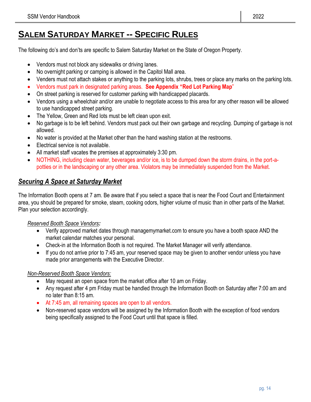# **SALEM SATURDAY MARKET -- SPECIFIC RULES**

The following do's and don'ts are specific to Salem Saturday Market on the State of Oregon Property.

- Vendors must not block any sidewalks or driving lanes.
- No overnight parking or camping is allowed in the Capitol Mall area.
- Venders must not attach stakes or anything to the parking lots, shrubs, trees or place any marks on the parking lots.
- Vendors must park in designated parking areas. **See Appendix "Red Lot Parking Map**"
- On street parking is reserved for customer parking with handicapped placards.
- Vendors using a wheelchair and/or are unable to negotiate access to this area for any other reason will be allowed to use handicapped street parking.
- The Yellow, Green and Red lots must be left clean upon exit.
- No garbage is to be left behind. Vendors must pack out their own garbage and recycling. Dumping of garbage is not allowed.
- No water is provided at the Market other than the hand washing station at the restrooms.
- Electrical service is not available.
- All market staff vacates the premises at approximately 3:30 pm.
- NOTHING, including clean water, beverages and/or ice, is to be dumped down the storm drains, in the port-apotties or in the landscaping or any other area. Violators may be immediately suspended from the Market.

## *Securing A Space at Saturday Market*

The Information Booth opens at 7 am. Be aware that if you select a space that is near the Food Court and Entertainment area, you should be prepared for smoke, steam, cooking odors, higher volume of music than in other parts of the Market. Plan your selection accordingly.

#### *Reserved Booth Space Vendors:*

- Verify approved market dates through managemymarket.com to ensure you have a booth space AND the market calendar matches your personal.
- Check-in at the Information Booth is not required. The Market Manager will verify attendance.
- If you do not arrive prior to 7:45 am, your reserved space may be given to another vendor unless you have made prior arrangements with the Executive Director.

#### *Non-Reserved Booth Space Vendors:*

- May request an open space from the market office after 10 am on Friday.
- Any request after 4 pm Friday must be handled through the Information Booth on Saturday after 7:00 am and no later than 8:15 am.
- At 7:45 am, all remaining spaces are open to all vendors.
- Non-reserved space vendors will be assigned by the Information Booth with the exception of food vendors being specifically assigned to the Food Court until that space is filled.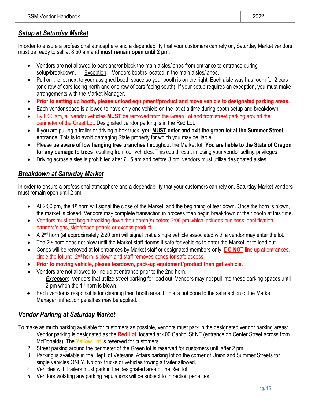## *Setup at Saturday Market*

In order to ensure a professional atmosphere and a dependability that your customers can rely on, Saturday Market vendors must be ready to sell at 8:50 am and **must remain open until 2 pm**.

- Vendors are not allowed to park and/or block the main aisles/lanes from entrance to entrance during setup/breakdown. Exception: Vendors booths located in the main aisles/lanes.
- Pull on the lot next to your assigned booth space so your booth is on the right. Each aisle way has room for 2 cars (one row of cars facing north and one row of cars facing south). If your setup requires an exception, you must make arrangements with the Market Manager.
- **Prior to setting up booth, please unload equipment/product and move vehicle to designated parking areas.**
- Each vendor space is allowed to have only one vehicle on the lot at a time during booth setup and breakdown.
- By 8:30 am, all vendor vehicles **MUST** be removed from the Green Lot and from street parking around the perimeter of the Greet Lot. Designated vendor parking is in the Red Lot.
- If you are pulling a trailer or driving a box truck, **you MUST enter and exit the green lot at the Summer Street entrance**. This is to avoid damaging State property for which you may be liable.
- Please **be aware of low hanging tree branches** throughout the Market lot. **You are liable to the State of Oregon for any damage to trees** resulting from our vehicles. This could result in losing your vendor selling privileges.
- Driving across aisles is prohibited after 7:15 am and before 3 pm, vendors must utilize designated aisles.

## *Breakdown at Saturday Market*

In order to ensure a professional atmosphere and a dependability that your customers can rely on, Saturday Market vendors must remain open until 2 pm. .

- At 2:00 pm, the 1<sup>st</sup> horn will signal the close of the Market, and the beginning of tear down. Once the horn is blown, the market is closed. Vendors may complete transaction in process then begin breakdown of their booth at this time.
- Vendors must not begin breaking down their booth(s) before 2:00 pm which includes business identification banners/signs, side/shade panels or excess product.
- A 2<sup>nd</sup> horn (at approximately 2:20 pm) will signal that a single vehicle associated with a vendor may enter the lot.
- The 2nd horn does not blow until the Market staff deems it safe for vehicles to enter the Market lot to load out.
- Cones will be removed at lot entrances by Market staff or designated members only. **DO NOT** line up at entrances, circle the lot until 2nd horn is blown and staff removes cones for safe access.
- **Prior to moving vehicle, please teardown, pack-up equipment/product then get vehicle.**
- Vendors are not allowed to line up at entrance prior to the 2nd horn. *Exception*: Vendors that utilize street parking for load out. Vendors may not pull into these parking spaces until 2 pm when the 1st horn is blown.
- Each vendor is responsible for cleaning their booth area. If this is not done to the satisfaction of the Market Manager, infraction penalties may be applied.

# *Vendor Parking at Saturday Market*

To make as much parking available for customers as possible, vendors must park in the designated vendor parking areas:

- 1. Vendor parking is designated as the **Red Lot**, located at 400 Capitol St NE (entrance on Center Street across from McDonalds). The **Yellow Lot** is reserved for customers.
- 2. Street parking around the perimeter of the Green lot is reserved for customers until after 2 pm.
- 3. Parking is available in the Dept. of Veterans' Affairs parking lot on the corner of Union and Summer Streets for single vehicles ONLY. No box trucks or vehicles towing a trailer allowed.
- 4. Vehicles with trailers must park in the designated area of the Red lot.
- 5. Vendors violating any parking regulations will be subject to infraction penalties.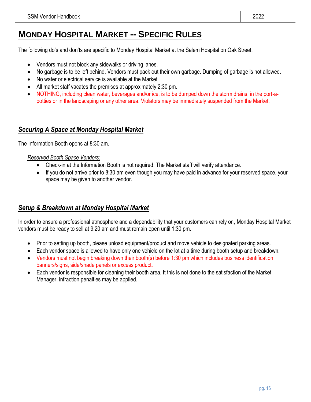# **MONDAY HOSPITAL MARKET -- SPECIFIC RULES**

The following do's and don'ts are specific to Monday Hospital Market at the Salem Hospital on Oak Street.

- Vendors must not block any sidewalks or driving lanes.
- No garbage is to be left behind. Vendors must pack out their own garbage. Dumping of garbage is not allowed.
- No water or electrical service is available at the Market
- All market staff vacates the premises at approximately 2:30 pm.
- NOTHING, including clean water, beverages and/or ice, is to be dumped down the storm drains, in the port-apotties or in the landscaping or any other area. Violators may be immediately suspended from the Market.

#### *Securing A Space at Monday Hospital Market*

The Information Booth opens at 8:30 am.

#### *Reserved Booth Space Vendors:*

- Check-in at the Information Booth is not required. The Market staff will verify attendance.
- If you do not arrive prior to 8:30 am even though you may have paid in advance for your reserved space, your space may be given to another vendor.

#### *Setup & Breakdown at Monday Hospital Market*

In order to ensure a professional atmosphere and a dependability that your customers can rely on, Monday Hospital Market vendors must be ready to sell at 9:20 am and must remain open until 1:30 pm.

- Prior to setting up booth, please unload equipment/product and move vehicle to designated parking areas.
- Each vendor space is allowed to have only one vehicle on the lot at a time during booth setup and breakdown.
- Vendors must not begin breaking down their booth(s) before 1:30 pm which includes business identification banners/signs, side/shade panels or excess product.
- Each vendor is responsible for cleaning their booth area. It this is not done to the satisfaction of the Market Manager, infraction penalties may be applied.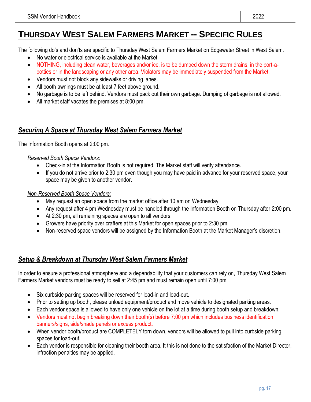# **THURSDAY WEST SALEM FARMERS MARKET -- SPECIFIC RULES**

The following do's and don'ts are specific to Thursday West Salem Farmers Market on Edgewater Street in West Salem.

- No water or electrical service is available at the Market
- NOTHING, including clean water, beverages and/or ice, is to be dumped down the storm drains, in the port-apotties or in the landscaping or any other area. Violators may be immediately suspended from the Market.
- Vendors must not block any sidewalks or driving lanes.
- All booth awnings must be at least 7 feet above ground.
- No garbage is to be left behind. Vendors must pack out their own garbage. Dumping of garbage is not allowed.
- All market staff vacates the premises at 8:00 pm.

#### *Securing A Space at Thursday West Salem Farmers Market*

The Information Booth opens at 2:00 pm.

#### *Reserved Booth Space Vendors:*

- Check-in at the Information Booth is not required. The Market staff will verify attendance.
- If you do not arrive prior to 2:30 pm even though you may have paid in advance for your reserved space, your space may be given to another vendor.

#### *Non-Reserved Booth Space Vendors:*

- May request an open space from the market office after 10 am on Wednesday.
- Any request after 4 pm Wednesday must be handled through the Information Booth on Thursday after 2:00 pm.
- At 2:30 pm, all remaining spaces are open to all vendors.
- Growers have priority over crafters at this Market for open spaces prior to 2:30 pm.
- Non-reserved space vendors will be assigned by the Information Booth at the Market Manager's discretion.

# *Setup & Breakdown at Thursday West Salem Farmers Market*

In order to ensure a professional atmosphere and a dependability that your customers can rely on, Thursday West Salem Farmers Market vendors must be ready to sell at 2:45 pm and must remain open until 7:00 pm.

- Six curbside parking spaces will be reserved for load-in and load-out.
- Prior to setting up booth, please unload equipment/product and move vehicle to designated parking areas.
- Each vendor space is allowed to have only one vehicle on the lot at a time during booth setup and breakdown.
- Vendors must not begin breaking down their booth(s) before 7:00 pm which includes business identification banners/signs, side/shade panels or excess product.
- When vendor booth/product are COMPLETELY torn down, vendors will be allowed to pull into curbside parking spaces for load-out.
- Each vendor is responsible for cleaning their booth area. It this is not done to the satisfaction of the Market Director, infraction penalties may be applied.